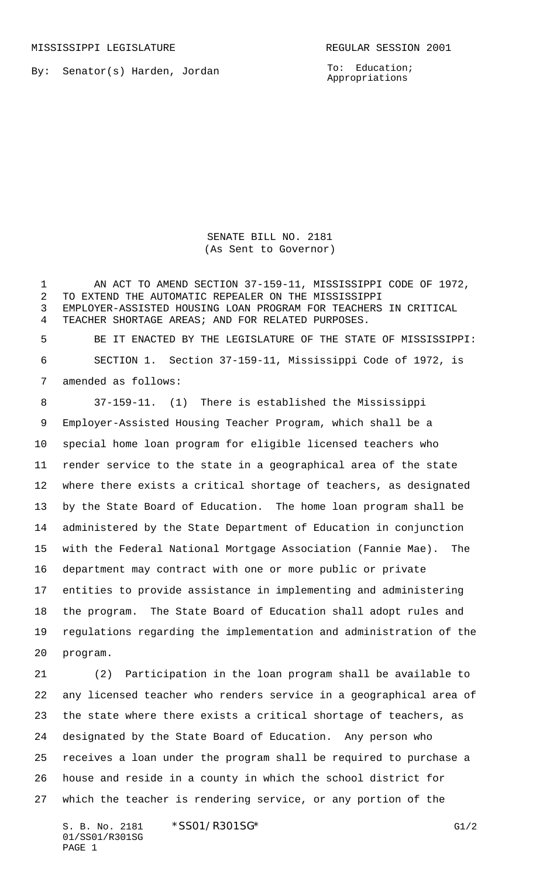MISSISSIPPI LEGISLATURE **REGULAR SESSION 2001** 

By: Senator(s) Harden, Jordan

To: Education; Appropriations

SENATE BILL NO. 2181 (As Sent to Governor)

 AN ACT TO AMEND SECTION 37-159-11, MISSISSIPPI CODE OF 1972, TO EXTEND THE AUTOMATIC REPEALER ON THE MISSISSIPPI EMPLOYER-ASSISTED HOUSING LOAN PROGRAM FOR TEACHERS IN CRITICAL TEACHER SHORTAGE AREAS; AND FOR RELATED PURPOSES.

 BE IT ENACTED BY THE LEGISLATURE OF THE STATE OF MISSISSIPPI: SECTION 1. Section 37-159-11, Mississippi Code of 1972, is amended as follows:

 37-159-11. (1) There is established the Mississippi Employer-Assisted Housing Teacher Program, which shall be a special home loan program for eligible licensed teachers who render service to the state in a geographical area of the state where there exists a critical shortage of teachers, as designated by the State Board of Education. The home loan program shall be administered by the State Department of Education in conjunction with the Federal National Mortgage Association (Fannie Mae). The department may contract with one or more public or private entities to provide assistance in implementing and administering the program. The State Board of Education shall adopt rules and regulations regarding the implementation and administration of the program.

 (2) Participation in the loan program shall be available to any licensed teacher who renders service in a geographical area of the state where there exists a critical shortage of teachers, as designated by the State Board of Education. Any person who receives a loan under the program shall be required to purchase a house and reside in a county in which the school district for which the teacher is rendering service, or any portion of the

S. B. No. 2181 \* SS01/R301SG\* G1/2 01/SS01/R301SG PAGE 1